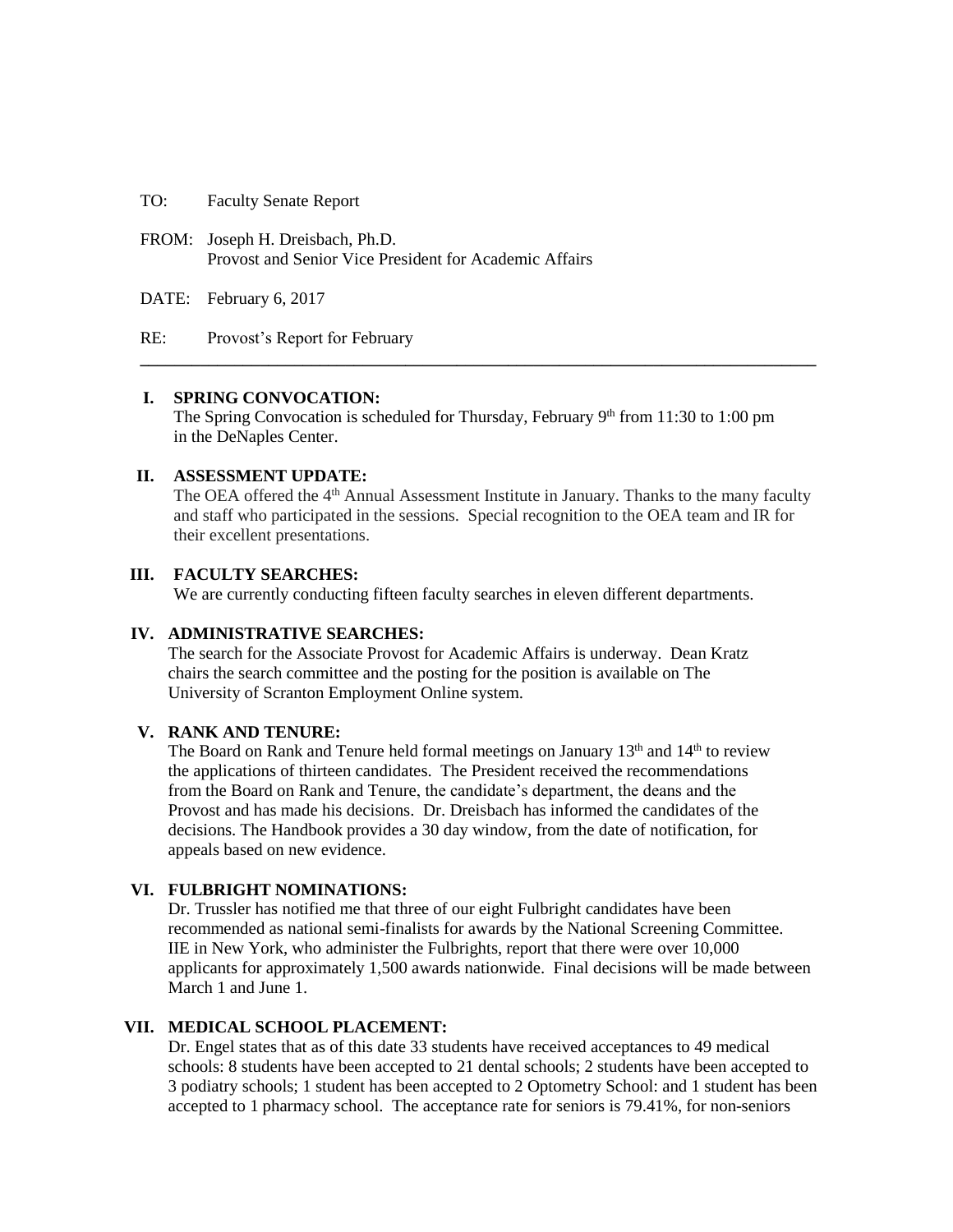TO: Faculty Senate Report

FROM: Joseph H. Dreisbach, Ph.D. Provost and Senior Vice President for Academic Affairs

DATE: February 6, 2017

RE: Provost's Report for February

#### **I. SPRING CONVOCATION:**

The Spring Convocation is scheduled for Thursday, February  $9<sup>th</sup>$  from 11:30 to 1:00 pm in the DeNaples Center.

**\_\_\_\_\_\_\_\_\_\_\_\_\_\_\_\_\_\_\_\_\_\_\_\_\_\_\_\_\_\_\_\_\_\_\_\_\_\_\_\_\_\_\_\_\_\_\_\_\_\_\_\_\_\_\_\_\_\_\_\_\_\_\_\_\_\_\_\_\_\_\_\_\_\_\_\_\_\_\_**

## **II. ASSESSMENT UPDATE:**

The OEA offered the 4<sup>th</sup> Annual Assessment Institute in January. Thanks to the many faculty and staff who participated in the sessions. Special recognition to the OEA team and IR for their excellent presentations.

# **III. FACULTY SEARCHES:**

We are currently conducting fifteen faculty searches in eleven different departments.

# **IV. ADMINISTRATIVE SEARCHES:**

The search for the Associate Provost for Academic Affairs is underway. Dean Kratz chairs the search committee and the posting for the position is available on The University of Scranton Employment Online system.

#### **V. RANK AND TENURE:**

The Board on Rank and Tenure held formal meetings on January  $13<sup>th</sup>$  and  $14<sup>th</sup>$  to review the applications of thirteen candidates. The President received the recommendations from the Board on Rank and Tenure, the candidate's department, the deans and the Provost and has made his decisions. Dr. Dreisbach has informed the candidates of the decisions. The Handbook provides a 30 day window, from the date of notification, for appeals based on new evidence.

# **VI. FULBRIGHT NOMINATIONS:**

Dr. Trussler has notified me that three of our eight Fulbright candidates have been recommended as national semi-finalists for awards by the National Screening Committee. IIE in New York, who administer the Fulbrights, report that there were over 10,000 applicants for approximately 1,500 awards nationwide. Final decisions will be made between March 1 and June 1.

# **VII. MEDICAL SCHOOL PLACEMENT:**

Dr. Engel states that as of this date 33 students have received acceptances to 49 medical schools: 8 students have been accepted to 21 dental schools; 2 students have been accepted to 3 podiatry schools; 1 student has been accepted to 2 Optometry School: and 1 student has been accepted to 1 pharmacy school. The acceptance rate for seniors is 79.41%, for non-seniors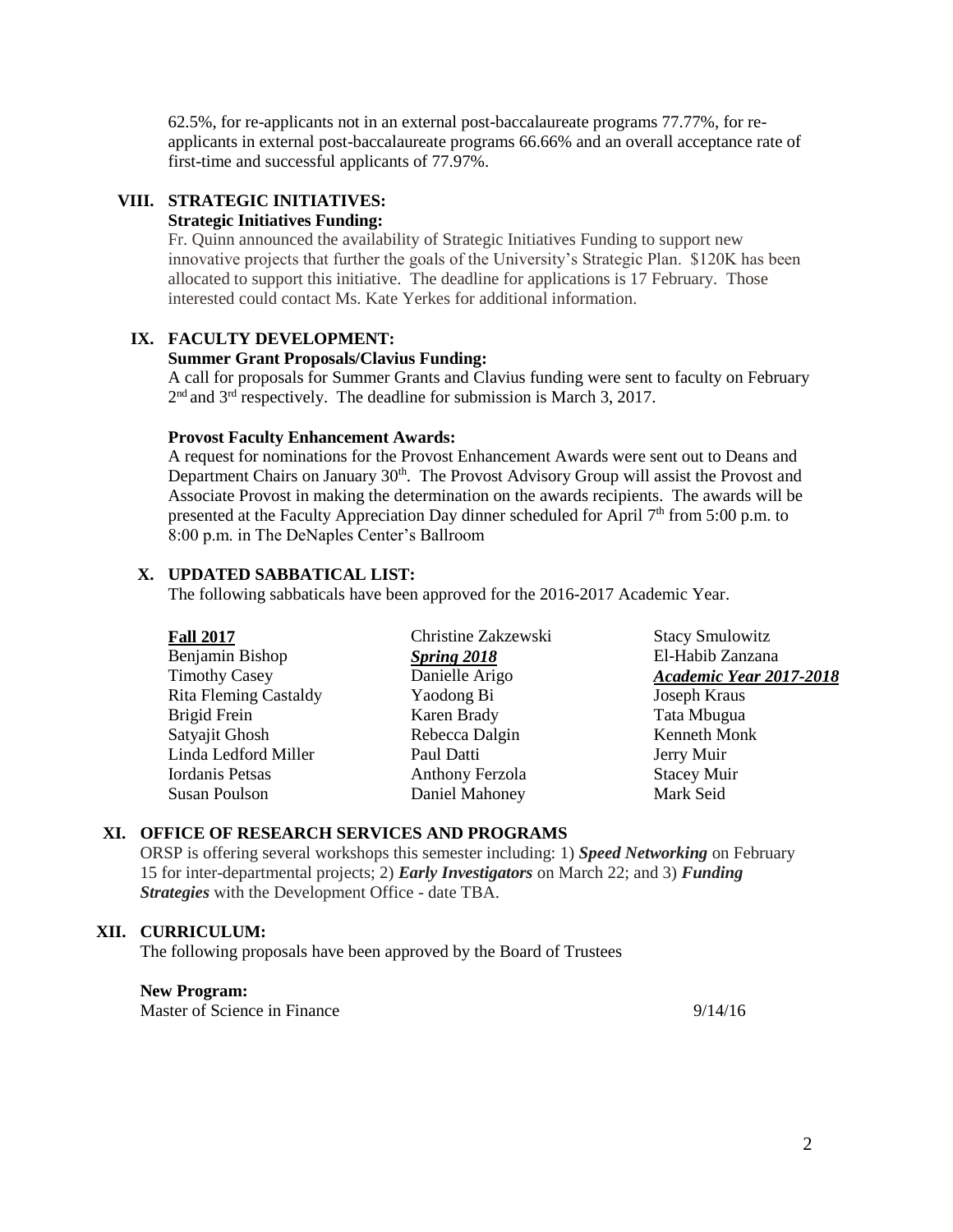62.5%, for re-applicants not in an external post-baccalaureate programs 77.77%, for reapplicants in external post-baccalaureate programs 66.66% and an overall acceptance rate of first-time and successful applicants of 77.97%.

# **VIII. STRATEGIC INITIATIVES:**

### **Strategic Initiatives Funding:**

Fr. Quinn announced the availability of Strategic Initiatives Funding to support new innovative projects that further the goals of the University's Strategic Plan. \$120K has been allocated to support this initiative. The deadline for applications is 17 February. Those interested could contact Ms. Kate Yerkes for additional information.

# **IX. FACULTY DEVELOPMENT:**

## **Summer Grant Proposals/Clavius Funding:**

A call for proposals for Summer Grants and Clavius funding were sent to faculty on February  $2<sup>nd</sup>$  and  $3<sup>rd</sup>$  respectively. The deadline for submission is March 3, 2017.

#### **Provost Faculty Enhancement Awards:**

A request for nominations for the Provost Enhancement Awards were sent out to Deans and Department Chairs on January 30<sup>th</sup>. The Provost Advisory Group will assist the Provost and Associate Provost in making the determination on the awards recipients. The awards will be presented at the Faculty Appreciation Day dinner scheduled for April  $7<sup>th</sup>$  from 5:00 p.m. to 8:00 p.m. in The DeNaples Center's Ballroom

### **X. UPDATED SABBATICAL LIST:**

The following sabbaticals have been approved for the 2016-2017 Academic Year.

| <b>Fall 2017</b>             | Christine Zakzewski | <b>Stacy Smulowitz</b>         |
|------------------------------|---------------------|--------------------------------|
| Benjamin Bishop              | Spring 2018         | El-Habib Zanzana               |
| <b>Timothy Casey</b>         | Danielle Arigo      | <b>Academic Year 2017-2018</b> |
| <b>Rita Fleming Castaldy</b> | Yaodong Bi          | Joseph Kraus                   |
| Brigid Frein                 | Karen Brady         | Tata Mbugua                    |
| Satyajit Ghosh               | Rebecca Dalgin      | Kenneth Monk                   |
| Linda Ledford Miller         | Paul Datti          | Jerry Muir                     |
| Iordanis Petsas              | Anthony Ferzola     | <b>Stacey Muir</b>             |
| <b>Susan Poulson</b>         | Daniel Mahoney      | Mark Seid                      |

#### **XI. OFFICE OF RESEARCH SERVICES AND PROGRAMS**

ORSP is offering several workshops this semester including: 1) *Speed Networking* on February 15 for inter-departmental projects; 2) *Early Investigators* on March 22; and 3) *Funding Strategies* with the Development Office - date TBA.

# **XII. CURRICULUM:**

The following proposals have been approved by the Board of Trustees

#### **New Program:**

Master of Science in Finance 9/14/16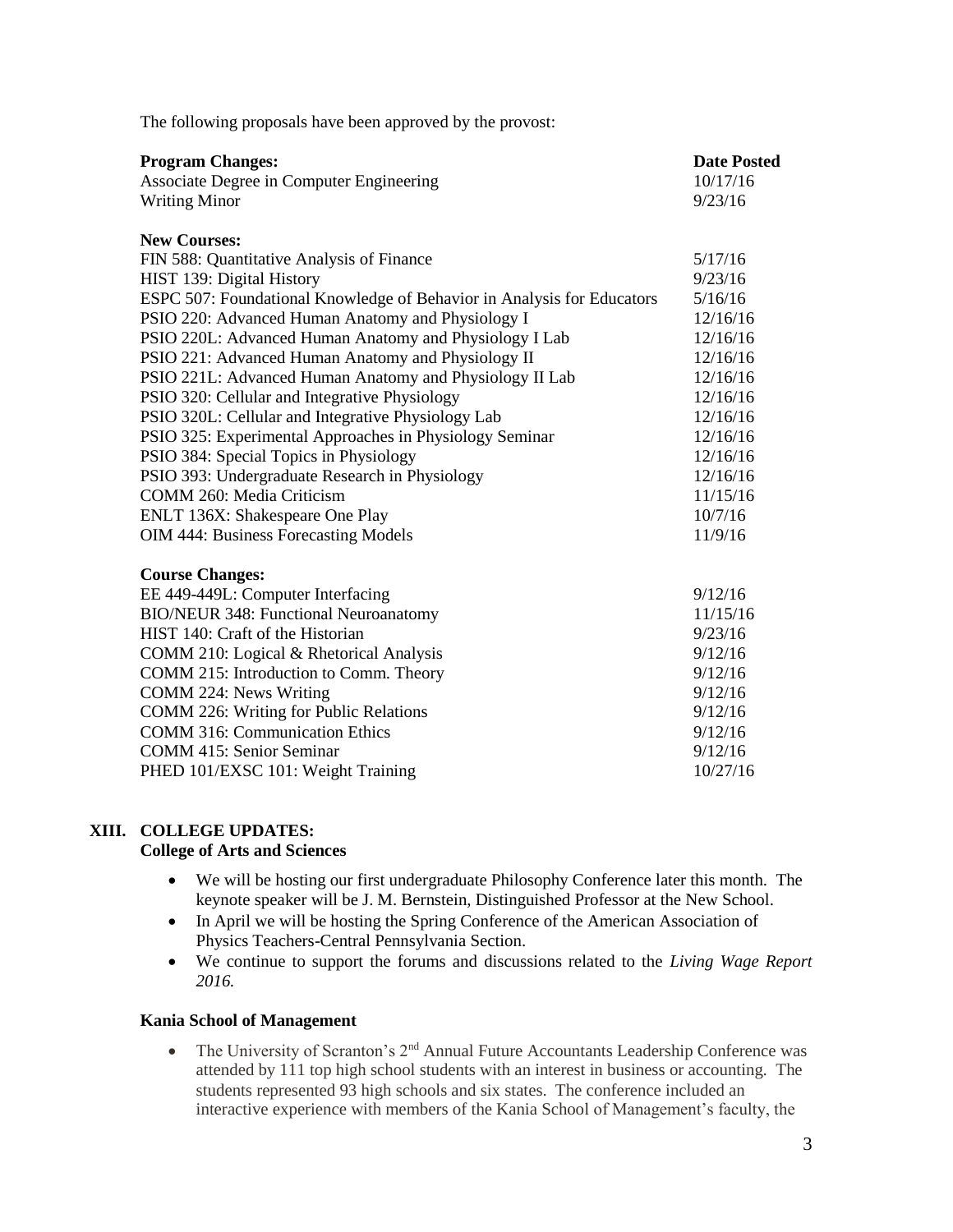| <b>Program Changes:</b>                                                | <b>Date Posted</b> |
|------------------------------------------------------------------------|--------------------|
| Associate Degree in Computer Engineering                               | 10/17/16           |
| <b>Writing Minor</b>                                                   | 9/23/16            |
|                                                                        |                    |
| <b>New Courses:</b>                                                    |                    |
| FIN 588: Quantitative Analysis of Finance                              | 5/17/16            |
| HIST 139: Digital History                                              | 9/23/16            |
| ESPC 507: Foundational Knowledge of Behavior in Analysis for Educators | 5/16/16            |
| PSIO 220: Advanced Human Anatomy and Physiology I                      | 12/16/16           |
| PSIO 220L: Advanced Human Anatomy and Physiology I Lab                 | 12/16/16           |
| PSIO 221: Advanced Human Anatomy and Physiology II                     | 12/16/16           |
| PSIO 221L: Advanced Human Anatomy and Physiology II Lab                | 12/16/16           |
| PSIO 320: Cellular and Integrative Physiology                          | 12/16/16           |
| PSIO 320L: Cellular and Integrative Physiology Lab                     | 12/16/16           |
| PSIO 325: Experimental Approaches in Physiology Seminar                | 12/16/16           |
| PSIO 384: Special Topics in Physiology                                 | 12/16/16           |
| PSIO 393: Undergraduate Research in Physiology                         | 12/16/16           |
| COMM 260: Media Criticism                                              | 11/15/16           |
| ENLT 136X: Shakespeare One Play                                        | 10/7/16            |
| <b>OIM 444: Business Forecasting Models</b>                            | 11/9/16            |
|                                                                        |                    |
| <b>Course Changes:</b>                                                 | 9/12/16            |
| EE 449-449L: Computer Interfacing                                      |                    |
| <b>BIO/NEUR 348: Functional Neuroanatomy</b>                           | 11/15/16           |
| HIST 140: Craft of the Historian                                       | 9/23/16            |
| COMM 210: Logical & Rhetorical Analysis                                | 9/12/16            |
| COMM 215: Introduction to Comm. Theory                                 | 9/12/16            |
| COMM 224: News Writing                                                 | 9/12/16            |
| COMM 226: Writing for Public Relations                                 | 9/12/16            |
| <b>COMM 316: Communication Ethics</b>                                  | 9/12/16            |
| <b>COMM 415: Senior Seminar</b>                                        | 9/12/16            |
| PHED 101/EXSC 101: Weight Training                                     | 10/27/16           |

The following proposals have been approved by the provost:

# **XIII. COLLEGE UPDATES: College of Arts and Sciences**

- We will be hosting our first undergraduate Philosophy Conference later this month. The keynote speaker will be J. M. Bernstein, Distinguished Professor at the New School.
- In April we will be hosting the Spring Conference of the American Association of Physics Teachers-Central Pennsylvania Section.
- We continue to support the forums and discussions related to the *Living Wage Report 2016.*

# **Kania School of Management**

• The University of Scranton's 2<sup>nd</sup> Annual Future Accountants Leadership Conference was attended by 111 top high school students with an interest in business or accounting. The students represented 93 high schools and six states. The conference included an interactive experience with members of the Kania School of Management's faculty, the